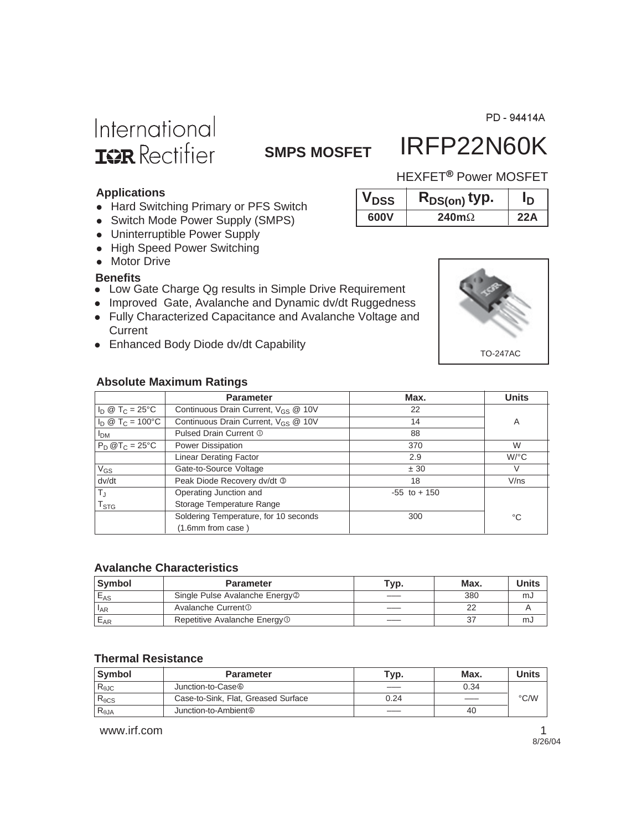PD - 94414A

# International **IGR** Rectifier

### **SMPS MOSFET**

### IRFP22N60K HEXFET<sup>®</sup> Power MOSFET

 $V_{DSS}$  **R**<sub>DS(on)</sub> typ. **ID 600V 240m**Ω **22A**

#### **Applications**

- Hard Switching Primary or PFS Switch
- Switch Mode Power Supply (SMPS)
- Uninterruptible Power Supply
- High Speed Power Switching
- Motor Drive

#### **Benefits**

- Low Gate Charge Qg results in Simple Drive Requirement
- Improved Gate, Avalanche and Dynamic dv/dt Ruggedness
- Fully Characterized Capacitance and Avalanche Voltage and **Current**
- Enhanced Body Diode dv/dt Capability

#### **Absolute Maximum Ratings**

|                             | <b>Parameter</b>                                | Max.            | <b>Units</b> |
|-----------------------------|-------------------------------------------------|-----------------|--------------|
| $I_D @ T_C = 25^{\circ}C$   | Continuous Drain Current, V <sub>GS</sub> @ 10V | 22              |              |
| $I_D @ T_C = 100^{\circ}C$  | Continuous Drain Current, V <sub>GS</sub> @ 10V | 14              | A            |
| I <sub>DM</sub>             | Pulsed Drain Current 1                          | 88              |              |
| $P_D @T_C = 25°C$           | Power Dissipation                               | 370             | W            |
|                             | <b>Linear Derating Factor</b>                   | 2.9             | $W$ /°C      |
| $V_{GS}$                    | Gate-to-Source Voltage                          | ± 30            | V            |
| dv/dt                       | Peak Diode Recovery dv/dt 3                     | 18              | V/ns         |
| T <sub>J</sub>              | Operating Junction and                          | $-55$ to $+150$ |              |
| $\mathsf{T}_{\textsf{STG}}$ | Storage Temperature Range                       |                 |              |
|                             | Soldering Temperature, for 10 seconds           | 300             | °C           |
|                             | (1.6mm from case)                               |                 |              |

#### **Avalanche Characteristics**

| <b>Symbol</b> | <b>Parameter</b>                           | Typ. | Max. | Units |
|---------------|--------------------------------------------|------|------|-------|
| $E_{AS}$      | Single Pulse Avalanche Energy <sup>2</sup> |      | 380  | mJ    |
| $I_{AR}$      | Avalanche Current <sup>①</sup>             |      | nr   |       |
| $E_{AR}$      | Repetitive Avalanche Energy <sup>1</sup>   |      | 37   | mJ    |

#### **Thermal Resistance**

| <b>Symbol</b>   | <b>Parameter</b>                    | Typ. | Max. | Units         |
|-----------------|-------------------------------------|------|------|---------------|
| $R_{\theta$ JC  | Junction-to-Case <sup>®</sup>       |      | 0.34 |               |
| $R_{\theta CS}$ | Case-to-Sink, Flat, Greased Surface | 0.24 |      | $\degree$ C/W |
| $R_{\theta JA}$ | Junction-to-Ambient <sup>®</sup>    |      | 40   |               |

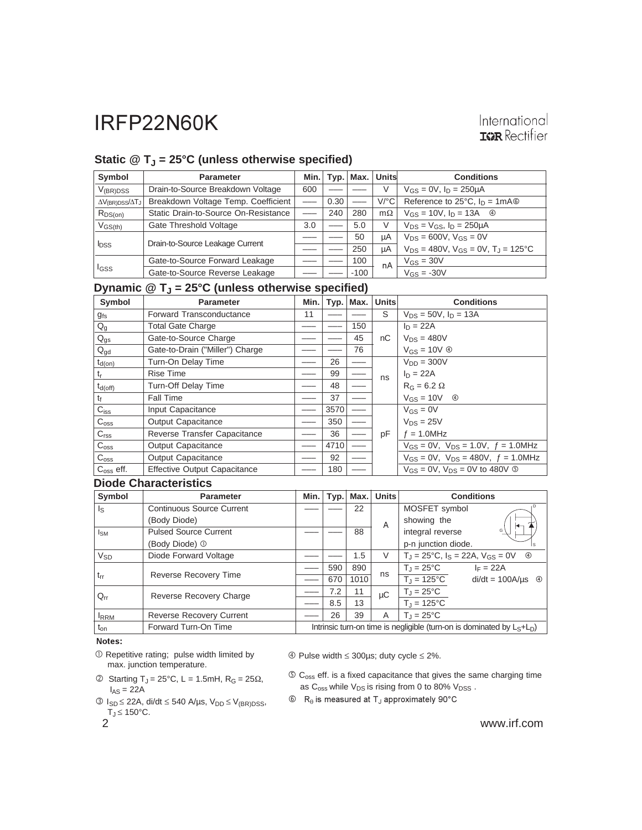#### Static @ T<sub>J</sub> = 25°C (unless otherwise specified)

| Symbol                                 | <b>Parameter</b>                     | Min. |             | Typ.   Max. | Units                | <b>Conditions</b>                                |
|----------------------------------------|--------------------------------------|------|-------------|-------------|----------------------|--------------------------------------------------|
| $V_{(BR)DSS}$                          | Drain-to-Source Breakdown Voltage    | 600  |             |             | V                    | $V_{GS} = 0V$ , $I_D = 250 \mu A$                |
| $\Delta V_{\text{(BR)DSS}}/\Delta T_J$ | Breakdown Voltage Temp. Coefficient  |      | 0.30        |             | $V$ <sup>o</sup> $C$ | Reference to $25^{\circ}$ C, $I_D = 1 \text{mA}$ |
| $R_{DS(on)}$                           | Static Drain-to-Source On-Resistance |      | 240         | 280         | $m\Omega$            | $V_{GS} = 10V$ , $I_D = 13A$ 4                   |
| $V_{GS(th)}$                           | Gate Threshold Voltage               | 3.0  | $-\qquad -$ | 5.0         | V                    | $V_{DS} = V_{GS}$ , $I_D = 250 \mu A$            |
| <b>l</b> pss                           | Drain-to-Source Leakage Current      |      |             | 50          | uА                   | $V_{DS} = 600V$ , $V_{GS} = 0V$                  |
|                                        |                                      |      |             | 250         | μA                   | $V_{DS}$ = 480V, $V_{GS}$ = 0V, $T_J$ = 125°C    |
| <sup>I</sup> GSS                       | Gate-to-Source Forward Leakage       |      |             | 100         | nA                   | $V_{GS} = 30V$                                   |
|                                        | Gate-to-Source Reverse Leakage       |      |             | $-100$      |                      | $V_{GS} = -30V$                                  |

#### **Dynamic @ TJ = 25°C (unless otherwise specified)**

| Symbol             | <b>Parameter</b>                    | Min. | Typ. | Max. | <b>Units</b> | <b>Conditions</b>                                    |
|--------------------|-------------------------------------|------|------|------|--------------|------------------------------------------------------|
| $g_{fs}$           | Forward Transconductance            | 11   |      |      | S            | $V_{DS} = 50V$ , $I_D = 13A$                         |
| $Q_g$              | <b>Total Gate Charge</b>            |      |      | 150  |              | $I_D = 22A$                                          |
| $Q_{gs}$           | Gate-to-Source Charge               |      |      | 45   | nC           | $V_{DS} = 480V$                                      |
| $Q_{gd}$           | Gate-to-Drain ("Miller") Charge     |      |      | 76   |              | $V_{GS} = 10V \circledcirc$                          |
| $t_{d(on)}$        | Turn-On Delay Time                  |      | 26   |      |              | $V_{DD} = 300V$                                      |
| t                  | <b>Rise Time</b>                    |      | 99   |      | ns           | $I_D = 22A$                                          |
| $t_{d(off)}$       | Turn-Off Delay Time                 |      | 48   |      |              | $R_G = 6.2 \Omega$                                   |
| t <sub>f</sub>     | <b>Fall Time</b>                    |      | 37   |      |              | $V_{GS} = 10V$ 4                                     |
| $C_{iss}$          | Input Capacitance                   |      | 3570 |      |              | $V_{GS} = 0V$                                        |
| $C_{\text{oss}}$   | Output Capacitance                  |      | 350  |      |              | $V_{DS} = 25V$                                       |
| C <sub>rss</sub>   | Reverse Transfer Capacitance        |      | 36   |      | pF           | $f = 1.0$ MHz                                        |
| C <sub>oss</sub>   | <b>Output Capacitance</b>           |      | 4710 |      |              | $V_{GS} = 0V$ , $V_{DS} = 1.0V$ , $f = 1.0MHz$       |
| C <sub>oss</sub>   | <b>Output Capacitance</b>           |      | 92   |      |              | $V_{GS} = 0V$ , $V_{DS} = 480V$ , $f = 1.0 MHz$      |
| $C_{\rm oss}$ eff. | <b>Effective Output Capacitance</b> |      | 180  |      |              | $V_{GS} = 0V$ . $V_{DS} = 0V$ to 480V $\circledcirc$ |

#### **Diode Characteristics**

| Symbol                  | <b>Parameter</b>                 | Min.                                                                      |     | Typ.   Max. | <b>Units</b> | <b>Conditions</b>                                                  |
|-------------------------|----------------------------------|---------------------------------------------------------------------------|-----|-------------|--------------|--------------------------------------------------------------------|
| $\mathsf{I}_\mathsf{S}$ | <b>Continuous Source Current</b> |                                                                           |     | 22          |              | MOSFET symbol                                                      |
|                         | (Body Diode)                     |                                                                           |     |             | A            | showing the                                                        |
| $I_{SM}$                | <b>Pulsed Source Current</b>     |                                                                           |     | 88          |              | integral reverse                                                   |
|                         | (Body Diode) <sup>1</sup>        |                                                                           |     |             |              | p-n junction diode.<br>Is.                                         |
| $V_{SD}$                | Diode Forward Voltage            |                                                                           |     | 1.5         | V            | $T_J = 25^{\circ}C$ , $I_S = 22A$ , $V_{GS} = 0V$<br>$\circled{4}$ |
|                         |                                  |                                                                           | 590 | 890         |              | $T_{\text{J}} = 25^{\circ}C$<br>$I_F = 22A$                        |
| $t_{rr}$                | Reverse Recovery Time            |                                                                           | 670 | 1010        | ns           | $T_{J} = 125^{\circ}C$<br>$di/dt = 100A/\mu s$ 4                   |
| $Q_{rr}$                | Reverse Recovery Charge          |                                                                           | 7.2 | 11          | μC           | $T_J = 25^{\circ}C$                                                |
|                         |                                  |                                                                           | 8.5 | 13          |              | $T_{\rm J} = 125^{\circ}C$                                         |
| <sup>I</sup> RRM        | <b>Reverse Recovery Current</b>  |                                                                           | 26  | 39          | A            | $T_{\rm J}$ = 25°C                                                 |
| $t_{on}$                | Forward Turn-On Time             | Intrinsic turn-on time is negligible (turn-on is dominated by $L_S+L_D$ ) |     |             |              |                                                                    |

Notes:

- Repetitive rating; pulse width limited by max. junction temperature.
- $\textcircled{2}$  Starting T<sub>J</sub> = 25°C, L = 1.5mH, R<sub>G</sub> = 25 $\Omega$ ,  $I_{AS} = 22A$
- $\circled{S}$  I<sub>SD</sub> ≤ 22A, di/dt ≤ 540 A/μs, V<sub>DD</sub> ≤ V<sub>(BR)DSS</sub>,  $T_J \leq 150^{\circ}$ C.
- 

Pulse width ≤ 300µs; duty cycle ≤ 2%.

- $\circledS$  C<sub>oss</sub> eff. is a fixed capacitance that gives the same charging time as  $C_{\text{oss}}$  while  $V_{DS}$  is rising from 0 to 80%  $V_{DSS}$ .
- $\circledR_{\theta}$  is measured at T<sub>J</sub> approximately 90°C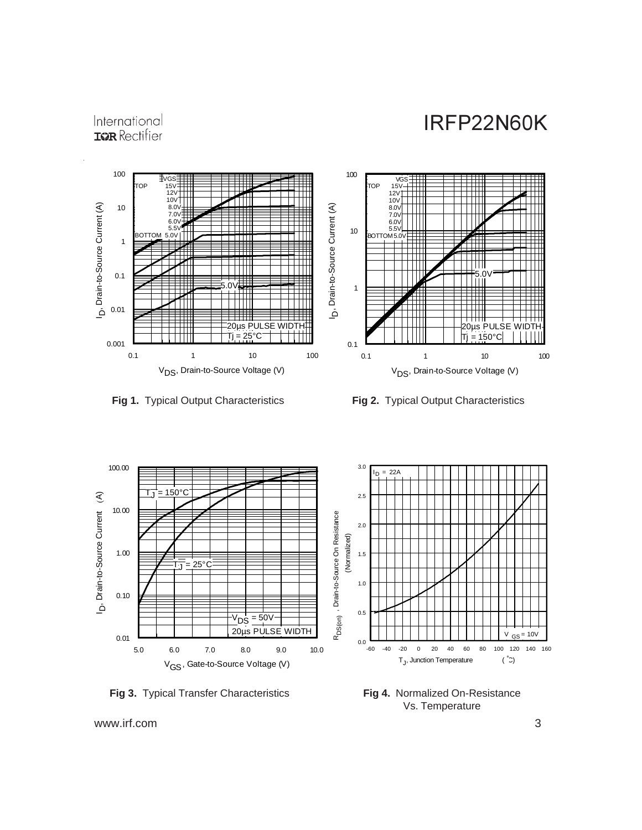### International **IGR** Rectifier







**Fig 3.** Typical Transfer Characteristics

**Fig 4.** Normalized On-Resistance Vs. Temperature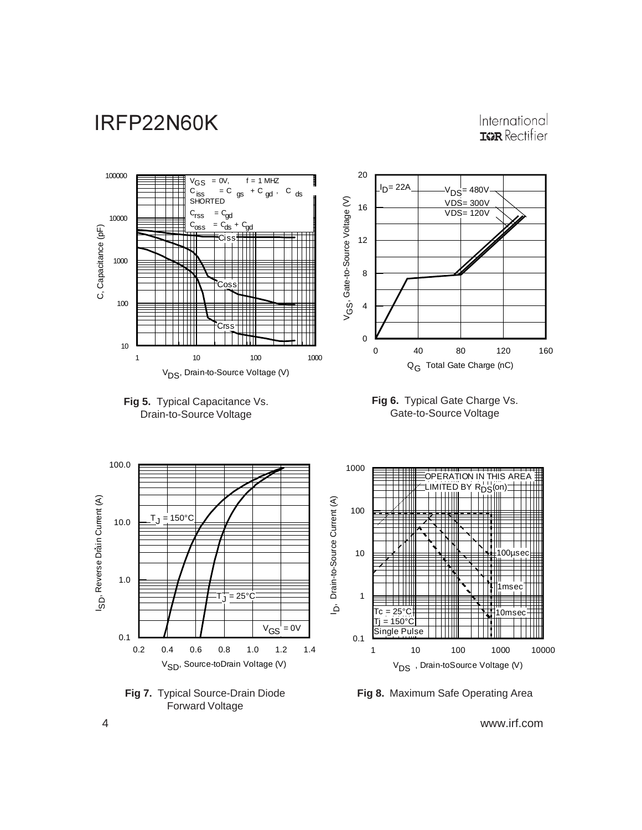### International **IGR** Rectifier





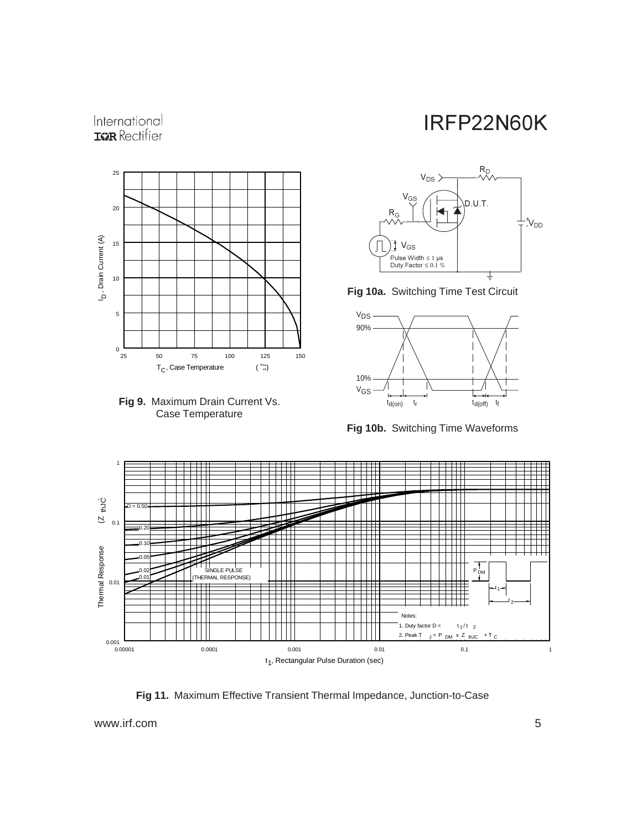### International **IGR** Rectifier





### IRFP22N60K



**Fig 10a.** Switching Time Test Circuit



**Fig 10b.** Switching Time Waveforms



**Fig 11.** Maximum Effective Transient Thermal Impedance, Junction-to-Case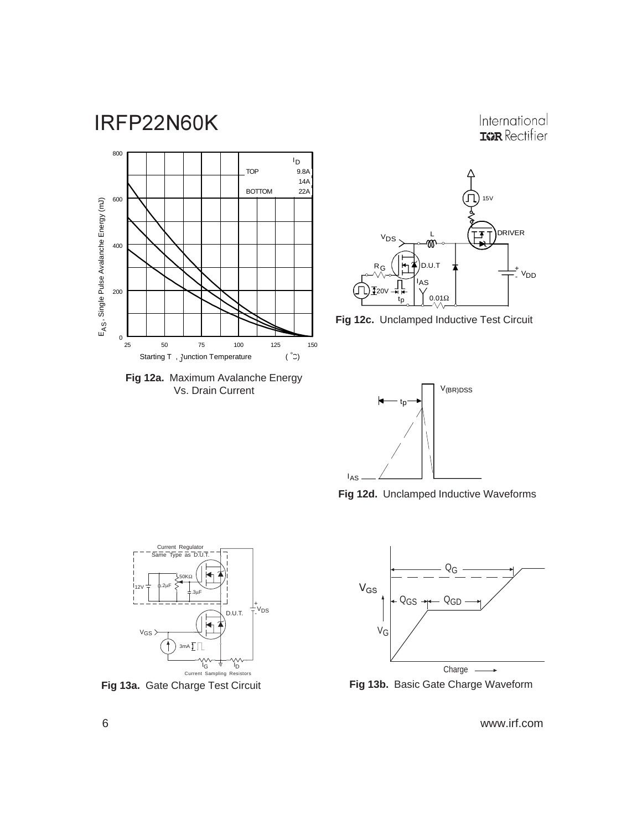International **ISPR** Rectifier



**Fig 12a.** Maximum Avalanche Energy Vs. Drain Current







**Fig 12d.** Unclamped Inductive Waveforms





**Fig 13a.** Gate Charge Test Circuit **Fig 13b.** Basic Gate Charge Waveform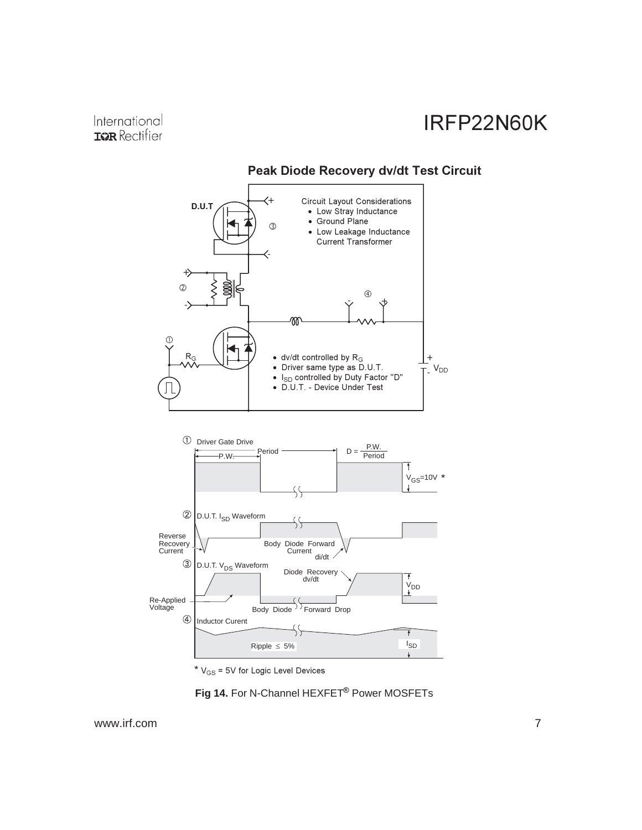

### **Peak Diode Recovery dv/dt Test Circuit**

\*  $V_{GS}$  = 5V for Logic Level Devices

Fig 14. For N-Channel HEXFET<sup>®</sup> Power MOSFETs